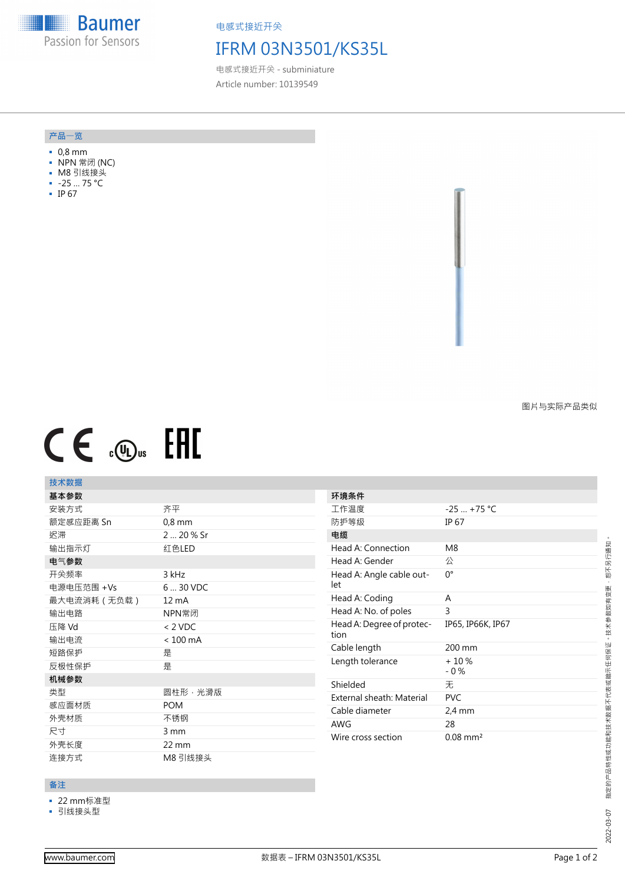**Baumer HEEL!!!!** Passion for Sensors

电感式接近开关

## IFRM 03N3501/KS35L

电感式接近开关 - subminiature Article number: 10139549

#### **产品**一**览**

- 0,8 mm
- NPN 常闭 (NC)
- M8 引线接头
- -25 … 75 °C
- IP 67

图片与实际产品类似

# $CE \mathcal{L}$  .  $\mathbb{G}_{\text{us}}$  FHI

### **技术数据**

| 基本参数        |                    |
|-------------|--------------------|
| 安装方式        | 齐平                 |
| 额定感应距离 Sn   | $0,8$ mm           |
| 迟滞          | 2  20 % Sr         |
| 输出指示灯       | 红色LED              |
| 电气参数        |                    |
| 开关频率        | 3 kHz              |
| 电源电压范围 +Vs  | 6  30 VDC          |
| 最大电流消耗(无负载) | $12 \text{ mA}$    |
| 输出电路        | NPN常闭              |
| 压降 Vd       | $< 2$ VDC          |
| 输出电流        | $< 100 \text{ mA}$ |
| 短路保护        | 是                  |
| 反极性保护       | 是                  |
| 机械参数        |                    |
| 类型          | 圆柱形,光滑版            |
| 感应面材质       | <b>POM</b>         |
| 外壳材质        | 不锈钢                |
| 尺寸          | 3 mm               |
| 外壳长度        | $22 \text{ mm}$    |
| 连接方式        | M8 引线接头            |

| 环境条件                              |                   |
|-----------------------------------|-------------------|
| 工作温度                              | $-25$ +75 °C      |
| 防护等级                              | IP 67             |
| 电缆                                |                   |
| Head A: Connection                | M8                |
| Head A: Gender                    | 公                 |
| Head A: Angle cable out-<br>let   | 0°                |
| Head A: Coding                    | A                 |
| Head A: No. of poles              | 3                 |
| Head A: Degree of protec-<br>tion | IP65, IP66K, IP67 |
|                                   |                   |
| Cable length                      | $200 \text{ mm}$  |
| Length tolerance                  | $+10%$<br>$-0\%$  |
| Shielded                          | 无                 |
| External sheath: Material         | <b>PVC</b>        |
| Cable diameter                    | $2.4 \text{ mm}$  |
| <b>AWG</b>                        | 28                |

#### **备注**

■ 22 mm标准型

■ 引线接头型